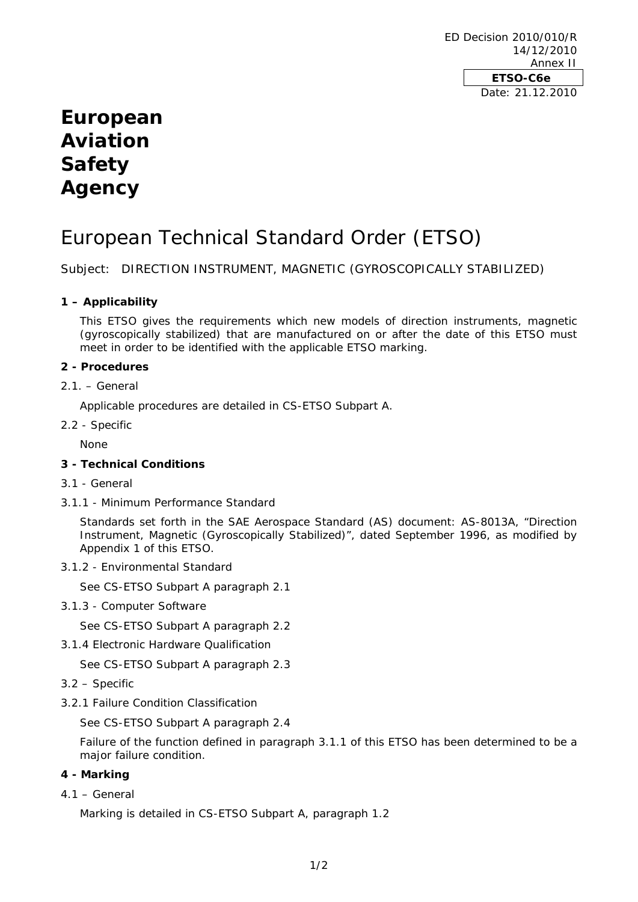ED Decision 2010/010/R 14/12/2010 Annex II **ETSO-C6e**  Date: 21.12.2010

## **European Aviation Safety Agency**

# European Technical Standard Order (ETSO)

Subject: DIRECTION INSTRUMENT, MAGNETIC (GYROSCOPICALLY STABILIZED)

## **1 – Applicability**

This ETSO gives the requirements which new models of direction instruments, magnetic (gyroscopically stabilized) that are manufactured on or after the date of this ETSO must meet in order to be identified with the applicable ETSO marking.

#### **2 - Procedures**

2.1. – General

Applicable procedures are detailed in CS-ETSO Subpart A.

2.2 - Specific

None

#### **3 - Technical Conditions**

- 3.1 General
- 3.1.1 Minimum Performance Standard

Standards set forth in the SAE Aerospace Standard (AS) document: AS-8013A, "Direction Instrument, Magnetic (Gyroscopically Stabilized)", dated September 1996, as modified by Appendix 1 of this ETSO.

3.1.2 - Environmental Standard

See CS-ETSO Subpart A paragraph 2.1

3.1.3 - Computer Software

See CS-ETSO Subpart A paragraph 2.2

3.1.4 Electronic Hardware Qualification

See CS-ETSO Subpart A paragraph 2.3

- 3.2 Specific
- 3.2.1 Failure Condition Classification

See CS-ETSO Subpart A paragraph 2.4

Failure of the function defined in paragraph 3.1.1 of this ETSO has been determined to be a major failure condition.

#### **4 - Marking**

 $4.1 - General$ 

Marking is detailed in CS-ETSO Subpart A, paragraph 1.2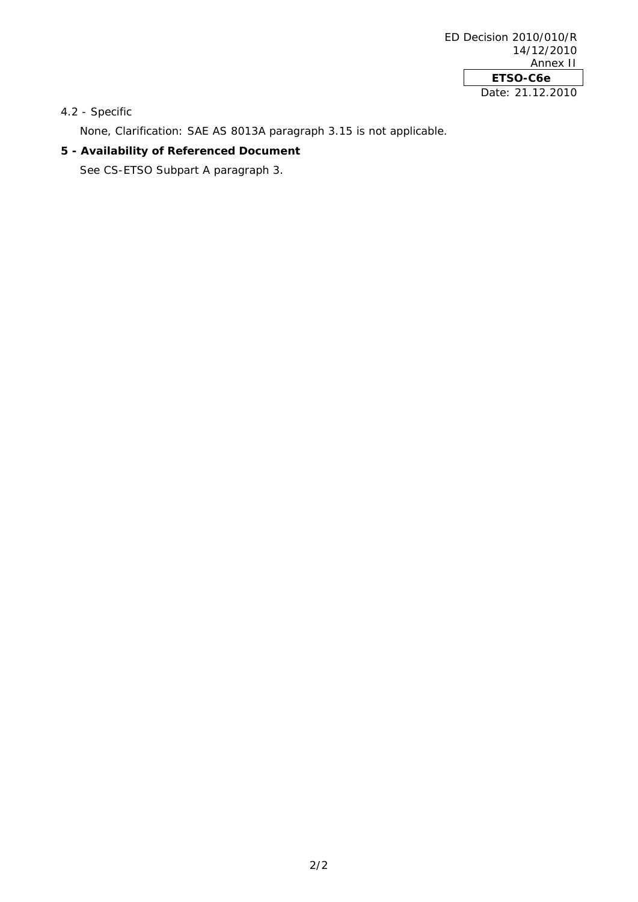4.2 - Specific

None, Clarification: SAE AS 8013A paragraph 3.15 is not applicable.

#### **5 - Availability of Referenced Document**

See CS-ETSO Subpart A paragraph 3.